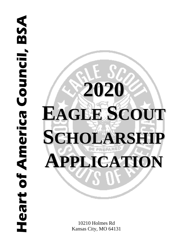# **Heart of America Council, BSA Heart of America Council, BSA**



10210 Holmes Rd Kansas City, MO 64131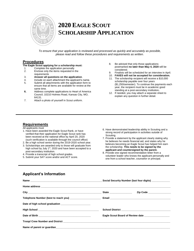

# **2020 EAGLE SCOUT** S**CHOLARSHIP APPLICATION**

*To ensure that your application is reviewed and processed as quickly and accurately as possible, please read and follow these procedures and requirements as written.*

### **Procedures**

**The Eagle Scout applying for a scholarship must:**

- 1. Complete the application personally<br>2. Enclose only the items requested in Enclose only the items requested in the requirements
- 3. **Answer all questions on the application**.
- 
- 4. Include on each attachment the applicant's name.<br>5. Submit all attachments with the application form to Submit all attachments with the application form to ensure that all items are available for review at the same time.
- **6.** Address complete applications to Heart of America Council, 10210 Holmes Road, Kansas City, MO, 64131.
- 7. Attach a photo of yourself in Scout uniform.
- 8. Be advised that only those applications postmarked **no later than May 4, 2020** will be considered.
- 9. Finalists will be scheduled for an interview in April.
- 10. **FAXES will not be accepted for consideration.**
- 11. The scholarship recipient will receive a \$10,000 scholarship payable over four years (\$1,250/semester). To continue the payments each year, the recipient must be in academic good standing at a post-secondary institution**.**
- 12. If needed, you may attach a separate sheet to explain any question in further detail.

# **Requirements**

All applicants must

- 1. Have been awarded the Eagle Scout Rank, or have verified that their application for Eagle Scout rank has been received at the national office by April 20, 2020 (such verification is available through the council office)
- 2. Be a high school senior during the 2019-2020 school year.
- 3. Scholarships are awarded only to those will graduate from high school by July 1<sup>st</sup>, 2020 and have been accepted to a post-secondary institution.
- 4. Provide a transcript of high school grades.
- 5. Submit your SAT score and/or and ACT score.
- 6. Have demonstrated leadership ability in Scouting and a strong record of participation in activities outside of Scouting.
- 7. Provide a statement by the applicant clearly stating why he believes he needs financial aid, and states why he believes becoming an Eagle Scout has helped him earn the scholarship. **This needs to be signed by the applicant and countersigned by the parent.**
- 8. Provide one signed recommendation letter from a volunteer leader who knows the applicant personally and one from a school teacher, counselor or principal.

# **Applicant's Information**

|                                                              | Social Security Number (last four digits) |                                                    |  |
|--------------------------------------------------------------|-------------------------------------------|----------------------------------------------------|--|
|                                                              |                                           |                                                    |  |
|                                                              | State ________________                    | Zip Code _______________                           |  |
| Telephone Number (best to reach you) _______________________ |                                           |                                                    |  |
| Date of high school graduation _______________________       |                                           |                                                    |  |
|                                                              |                                           |                                                    |  |
|                                                              |                                           | Eagle Scout Board of Review date _________________ |  |
|                                                              |                                           |                                                    |  |
|                                                              |                                           |                                                    |  |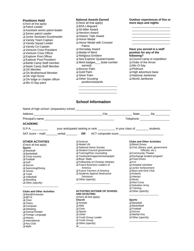### **Positions Held**

(Check all that apply) ❑ Patrol Leader ❑ Assistant senior patrol leader ❑ Senior patrol Leader ❑ Junior Assistant Scoutmaster ❑ Varsity Team Captain ❑ Varsity Squad Leader ❑ Varsity Co-Captain ❑ Venturer Crew President ❑ Venturer Crew Officer ❑ Explorer Post Officer ❑ Explorer Post President ❑ Bartle Camp Staff member ❑ Naish Camp Staff Member ❑ OA Member ❑ OA Brotherhood Member ❑ OA Vigil Honor ❑ OA lodge or chapter officer ❑ Mic-O-Say paint

### **National Awards Earned** (Check all that apply) ❑ BSA Lifeguard ❑ 50-Miler Award ❑ Heroism Award ❑ Historic Tails Award

❑ Honor Medal ❑ Honor Medal with Crossed Palms ❑ Hornaday Award ❑ Medal of Merit ❑ Religious Emblem ❑ Sea Explorer Quartermaster ❑ Merit badges\_\_\_ (total number earned) ❑ Bronze Palm ❑ Gold Palm ❑ Silver Palm ❑ Other Scouting

### \_\_\_\_\_\_\_\_\_\_\_\_\_\_\_\_\_\_\_\_\_\_\_\_ \_\_\_\_\_\_\_\_\_\_\_\_\_\_\_\_\_\_\_\_\_\_\_\_ **Have you served in a staff position for any of the**

**Outdoor experiences of five or** 

\_\_\_\_\_\_\_\_\_\_\_\_\_\_\_\_\_\_\_\_\_\_\_\_ \_\_\_\_\_\_\_\_\_\_\_\_\_\_\_\_\_\_\_\_\_\_\_\_ \_\_\_\_\_\_\_\_\_\_\_\_\_\_\_\_\_\_\_\_\_\_\_\_ \_\_\_\_\_\_\_\_\_\_\_\_\_\_\_\_\_\_\_\_\_\_\_\_

**more days and nights**

- **following?** ❑ Council camp or expedition ❑ Order of the Arrow ❑ Mic-O-Say
- ❑ Philmont
- ❑ High adventure base
- ❑ National Jamboree
- ❑ World Jamboree

# **School Information**

positions/awards

\_\_\_\_\_\_\_\_\_\_\_\_\_\_\_\_\_\_\_\_\_\_\_\_ \_\_\_\_\_\_\_\_\_\_\_\_\_\_\_\_\_\_\_\_\_\_\_\_ \_\_\_\_\_\_\_\_\_\_\_\_\_\_\_\_\_\_\_\_\_\_\_\_

|                                                                                                                                                                                                                                                                                                                           |                                                                                                                                                                                                                                                                                                                                                                                                                                                                                                                                                                                                                                                                                                                                                                                                          |                                     |                                                                                                                                                                       | Telephone <b>that is a structure of the structure</b> |  |  |
|---------------------------------------------------------------------------------------------------------------------------------------------------------------------------------------------------------------------------------------------------------------------------------------------------------------------------|----------------------------------------------------------------------------------------------------------------------------------------------------------------------------------------------------------------------------------------------------------------------------------------------------------------------------------------------------------------------------------------------------------------------------------------------------------------------------------------------------------------------------------------------------------------------------------------------------------------------------------------------------------------------------------------------------------------------------------------------------------------------------------------------------------|-------------------------------------|-----------------------------------------------------------------------------------------------------------------------------------------------------------------------|-------------------------------------------------------|--|--|
| <b>ACADEMIC</b>                                                                                                                                                                                                                                                                                                           |                                                                                                                                                                                                                                                                                                                                                                                                                                                                                                                                                                                                                                                                                                                                                                                                          |                                     |                                                                                                                                                                       |                                                       |  |  |
| G.P.A.                                                                                                                                                                                                                                                                                                                    | your anticipated ranking or rank ___________ in your class of ________ students.                                                                                                                                                                                                                                                                                                                                                                                                                                                                                                                                                                                                                                                                                                                         |                                     |                                                                                                                                                                       |                                                       |  |  |
|                                                                                                                                                                                                                                                                                                                           | SAT score - math _______ verbal _________ OR ACT composite score ___________________________________                                                                                                                                                                                                                                                                                                                                                                                                                                                                                                                                                                                                                                                                                                     |                                     |                                                                                                                                                                       |                                                       |  |  |
| <b>OTHER ACTIVITIES</b><br>(Check all that apply)<br><b>Sports</b><br>$\Box$ Baseball<br>$\square$ Basketball<br>$\Box$ Cross-country<br>$\Box$ Football<br>$\Box$ Golf<br>$\square$ Soccer<br>$\Box$ Swimming/Diving<br>$\Box$ Tennis<br>$\Box$ Track<br>$\Box$ Volleyball<br>$\Box$ Wrestling<br>$\Box$ Other (specify) | $\Box$ Science<br><b>Clubs and Other Activities</b><br>$\Box$ Model UN<br>$\Box$ Blood Drives<br>□ National Honor Society<br>$\Box$ Civic (library, park, government<br>□ Student Council/ government<br>Officials, etc.)<br>□ Tutoring/Peer counseling<br>□ Community Theater<br>□ Yearbook/magazine/newspaper<br>$\Box$ Exchange student program'<br>$\square$ Boys' State<br>$\Box$ Food Drives<br>□ Fellowship of Christian Athletes<br>$\Box$ 4-H<br>□ Future Business Leaders of<br>$\Box$ Hospital volunteer<br>America<br>Junior Achievement<br>□ Future Farmers of America<br>□ Boys and Girls Club<br>□ Students Against Destructive<br>$\Box$ Kiwanis<br>Decisions<br>$\Box$ Interact<br>$\Box$ Other (specify)<br>$\square$ Music<br>$\Box$ Red Cross<br>□ Salvation Army<br>$\Box$ Tutoring |                                     |                                                                                                                                                                       |                                                       |  |  |
| <b>Clubs and Other Activities</b><br>□ Band/Orchestra<br>$\Box$ BETA<br>$\Box$ Choir<br>$\Box$ Chess<br>$\Box$ Computer<br>$\Box$ Debating<br>□ Drama/Theater<br>□ Foreign Language<br>$\Box$ History<br>$\Box$ International<br>$\Box$ Key Club<br>$\square$ Math                                                        | <b>AND SCOUTING</b><br>(Check all that apply)<br><b>Church</b><br>$\Box$ Acolyte<br>$\Box$ Altar<br>$\Box$ Choir<br>$\square$ Sports<br>$\Box$ Usher<br>□ Youth Group Leader<br>□ Youth Group<br>$\Box$ Other (specify)<br>$\Box$                                                                                                                                                                                                                                                                                                                                                                                                                                                                                                                                                                        | <b>ACTIVITIES OUTSIDE OF SCHOOL</b> | $\Box$ Other (specify)<br><b>Sports</b><br>□ Baseball<br>$\square$ Basketball<br>$\Box$ Football<br>$\square$ Soccer<br>$\Box$ Martial Arts<br>$\Box$ Other (specify) |                                                       |  |  |